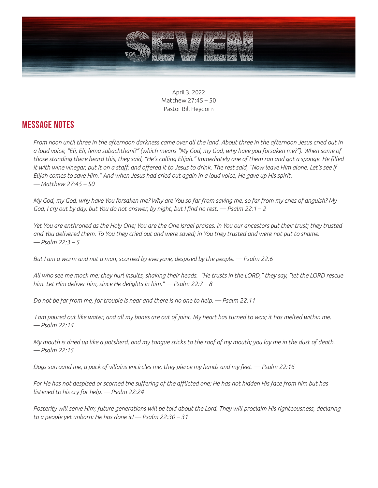

April 3, 2022 Matthew 27:45 – 50 Pastor Bill Heydorn

## **MESSAGE NOTES**

*From noon until three in the afternoon darkness came over all the land. About three in the afternoon Jesus cried out in a loud voice, "Eli, Eli, lema sabachthani?" (which means "My God, my God, why have you forsaken me?"). When some of those standing there heard this, they said, "He's calling Elijah." Immediately one of them ran and got a sponge. He filled it with wine vinegar, put it on a staff, and offered it to Jesus to drink. The rest said, "Now leave Him alone. Let's see if Elijah comes to save Him." And when Jesus had cried out again in a loud voice, He gave up His spirit. — Matthew 27:45 – 50*

*My God, my God, why have You forsaken me? Why are You so far from saving me, so far from my cries of anguish? My God, I cry out by day, but You do not answer, by night, but I find no rest. — Psalm 22:1 – 2*

*Yet You are enthroned as the Holy One; You are the One Israel praises. In You our ancestors put their trust; they trusted and You delivered them. To You they cried out and were saved; in You they trusted and were not put to shame. — Psalm 22:3 – 5*

*But I am a worm and not a man, scorned by everyone, despised by the people. — Psalm 22:6*

*All who see me mock me; they hurl insults, shaking their heads. "He trusts in the LORD," they say, "let the LORD rescue him. Let Him deliver him, since He delights in him." — Psalm 22:7 – 8*

*Do not be far from me, for trouble is near and there is no one to help. — Psalm 22:11*

*I am poured out like water, and all my bones are out of joint. My heart has turned to wax; it has melted within me. — Psalm 22:14*

*My mouth is dried up like a potsherd, and my tongue sticks to the roof of my mouth; you lay me in the dust of death. — Psalm 22:15*

*Dogs surround me, a pack of villains encircles me; they pierce my hands and my feet. — Psalm 22:16*

For He has not despised or scorned the suffering of the afflicted one; He has not hidden His face from him but has *listened to his cry for help. — Psalm 22:24*

*Posterity will serve Him; future generations will be told about the Lord. They will proclaim His righteousness, declaring to a people yet unborn: He has done it! — Psalm 22:30 – 31*